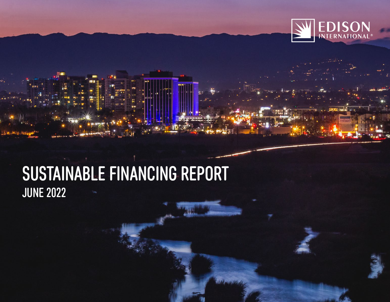

## SUSTAINABLE FINANCING REPORT JUNE 2022

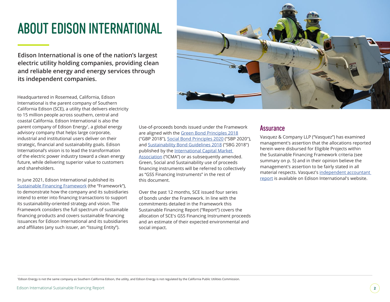## ABOUT EDISON INTERNATIONAL

**Edison International is one of the nation's largest electric utility holding companies, providing clean and reliable energy and energy services through its independent companies.**



In June 2021, Edison International published its [Sustainable Financing Framework](https://www.edison.com/content/dam/eix/documents/sustainability/sustainable-financing-framework.pdf) (the "Framework"), to demonstrate how the company and its subsidiaries intend to enter into financing transactions to support its sustainability-oriented strategy and vision. The Framework considers the full spectrum of sustainable financing products and covers sustainable financing issuances for Edison International and its subsidiaries and affiliates (any such issuer, an "Issuing Entity").



Use-of-proceeds bonds issued under the Framework are aligned with the G[reen Bond Principles 2018](https://www.ifc.org/wps/wcm/connect/cef061f1-6406-4a11-8dd3-2d4a6c47e66c/Green+Bond+Principles+-+June+2018+140618+WEB.pdf?MOD=AJPERES&CVID=n4SKWF8) ("GBP 2018"), [Social Bond Principles 2020](https://www.icmagroup.org/assets/documents/Regulatory/Green-Bonds/June-2020/Social-Bond-PrinciplesJune-2020-090620.pdf) ("SBP 2020"), and [Sustainability Bond Guidelines 2018](https://www.icmagroup.org/assets/documents/Regulatory/Green-Bonds/Sustainability-Bonds-Guidelines-June-2018-270520.pdf) ("SBG 2018") published by the [International Capital Market](https://www.icmagroup.org/)  [Association](https://www.icmagroup.org/) ("ICMA") or as subsequently amended. Green, Social and Sustainability use of proceeds financing instruments will be referred to collectively as "GSS Financing Instruments" in the rest of this document.

Over the past 12 months, SCE issued four series of bonds under the Framework. In line with the commitments detailed in the Framework this Sustainable Financing Report ("Report") covers the allocation of SCE's GSS Financing Instrument proceeds and an estimate of their expected environmental and social impact.

### **Assurance**

Vasquez & Company LLP ("Vasquez") has examined management's assertion that the allocations reported herein were disbursed for Eligible Projects within the Sustainable Financing Framework criteria (see summary on p. 5) and in their opinion believe the management's assertion to be fairly stated in all material respects. Vasquez's [independent accountant](https://www.edison.com/externalassurance)  [report](https://www.edison.com/externalassurance) is available on Edison International's website.

1Edison Energy is not the same company as Southern California Edison, the utility, and Edison Energy is not regulated by the California Public Utilities Commission.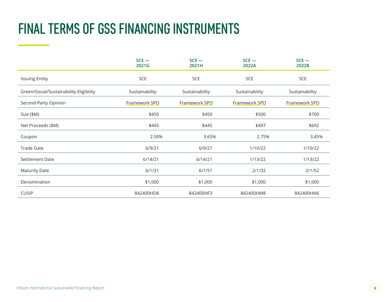## FINAL TERMS OF GSS FINANCING INSTRUMENTS

|                                         | $SCE -$<br>$SCE -$<br>2021G<br>2021H |                | $SCE -$<br>2022A | $SCE -$<br>2022B |  |
|-----------------------------------------|--------------------------------------|----------------|------------------|------------------|--|
| <b>Issuing Entity</b>                   | <b>SCE</b>                           | <b>SCE</b>     | SCE              | <b>SCE</b>       |  |
| Green/Social/Sustainability Eligibility | Sustainability                       | Sustainability | Sustainability   | Sustainability   |  |
| Second-Party Opinion                    | Framework SPO                        | Framework SPO  | Framework SPO    | Framework SPO    |  |
| Size (\$M)                              | \$450                                | \$450          | \$500            | \$700            |  |
| Net Proceeds (\$M)                      | \$445                                | \$445          | \$497            | \$692            |  |
| Coupon                                  | 2.50%                                | 3.65%          | 2.75%            | 3.45%            |  |
| <b>Trade Date</b>                       | 6/9/21                               | 6/9/21         | 1/10/22          | 1/10/22          |  |
| Settlement Date                         | 6/14/21                              | 6/14/21        | 1/13/22          | 1/13/22          |  |
| <b>Maturity Date</b>                    | 6/1/31                               | 6/1/51         | 2/1/32           | 2/1/52           |  |
| Denomination                            | \$1,000                              | \$1,000        | \$1,000          | \$1,000          |  |
| <b>CUSIP</b>                            | 842400HD8                            | 842400HF3      | 842400HM8        | 842400HN6        |  |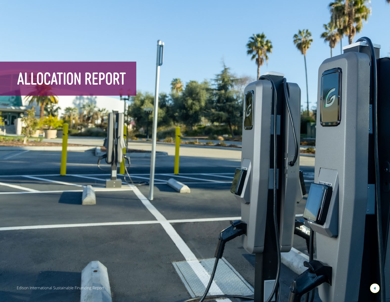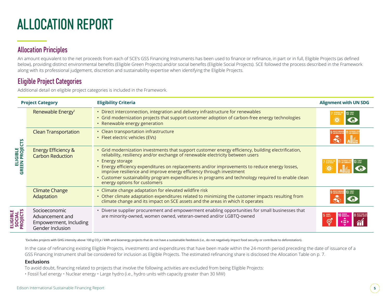## ALLOCATION REPORT

## Allocation Principles

An amount equivalent to the net proceeds from each of SCE's GSS Financing Instruments has been used to finance or refinance, in part or in full, Eligible Projects (as defined below), providing distinct environmental benefits (Eligible Green Projects) and/or social benefits (Eligible Social Projects). SCE followed the process described in the Framework along with its professional judgement, discretion and sustainability expertise when identifying the Eligible Projects.

## Eligible Project Categories

Additional detail on eligible project categories is included in the Framework.

| <b>Project Category</b>    |                                                                                | <b>Eligibility Criteria</b>                                                                                                                                                                                                                   | <b>Alignment with UN SDG</b> |  |  |  |
|----------------------------|--------------------------------------------------------------------------------|-----------------------------------------------------------------------------------------------------------------------------------------------------------------------------------------------------------------------------------------------|------------------------------|--|--|--|
|                            | Renewable Energy <sup>1</sup>                                                  | • Direct interconnection, integration and delivery infrastructure for renewables<br>· Grid modernization projects that support customer adoption of carbon-free energy technologies<br>• Renewable energy generation                          |                              |  |  |  |
| ELIGIBLE<br>GREEN PROJECTS | <b>Clean Transportation</b>                                                    | • Clean transportation infrastructure<br>• Fleet electric vehicles (EVs)                                                                                                                                                                      |                              |  |  |  |
|                            | <b>Energy Efficiency &amp;</b><br><b>Carbon Reduction</b>                      |                                                                                                                                                                                                                                               |                              |  |  |  |
|                            | <b>Climate Change</b><br>Adaptation                                            | • Climate change adaptation for elevated wildfire risk<br>• Other climate adaptation expenditures related to minimizing the customer impacts resulting from<br>climate change and its impact on SCE assets and the areas in which it operates |                              |  |  |  |
| SOCIAL<br>PROJECTS         | Socioeconomic<br>Advancement and<br>Empowerment, Including<br>Gender Inclusion | • Diverse supplier procurement and empowerment enabling opportunities for small businesses that<br>are minority-owned, women owned, veteran-owned and/or LGBTQ-owned                                                                          |                              |  |  |  |

<sup>1</sup>Excludes projects with GHG intensity above 100 g CO<sub>2</sub>e / kWh and bioenergy projects that do not have a sustainable feedstock (i.e., do not negatively impact food security or contribute to deforestation).

In the case of refinancing existing Eligible Projects, investments and expenditures that have been made within the 24-month period preceding the date of issuance of a GSS Financing Instrument shall be considered for inclusion as Eligible Projects. The estimated refinancing share is disclosed the Allocation Table on p. 7.

### **Exclusions**

**ELIGIBLE** 

ELIGIBLE

To avoid doubt, financing related to projects that involve the following activities are excluded from being Eligible Projects:

• Fossil fuel energy • Nuclear energy • Large hydro (i.e., hydro units with capacity greater than 30 MW)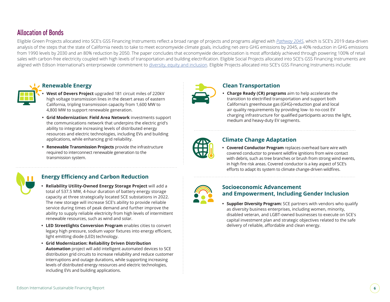## Allocation of Bonds

Eligible Green Projects allocated into SCE's GSS Financing Instruments reflect a broad range of projects and programs aligned with *[Pathway 2045](https://www.edison.com/home/our-perspective/pathway-2045.html)*, which is SCE's 2019 data-driven analysis of the steps that the state of California needs to take to meet economywide climate goals, including net-zero GHG emissions by 2045, a 40% reduction in GHG emissions from 1990 levels by 2030 and an 80% reduction by 2050. The paper concludes that economywide decarbonization is most affordably achieved through powering 100% of retail sales with carbon-free electricity coupled with high levels of transportation and building electrification. Eligible Social Projects allocated into SCE's GSS Financing Instruments are aligned with Edison International's enterprisewide commitment to [diversity, equity and inclusion.](https://www.edison.com/home/sustainability/diversity-equity-inclusion.html) Eligible Projects allocated into SCE's GSS Financing Instruments include:



### **Renewable Energy**

- **• West of Devers Project** upgraded 181 circuit miles of 220kV high voltage transmission lines in the desert areas of eastern California, tripling transmission capacity from 1,600 MW to 4,800 MW to support renewable generation.
- **• Grid Modernization: Field Area Network** investments support the communications network that underpins the electric grid's ability to integrate increasing levels of distributed energy resources and electric technologies, including EVs and building applications, while enhancing grid reliability.
- **• Renewable Transmission Projects** provide the infrastructure required to interconnect renewable generation to the transmission system.

### **Energy Efficiency and Carbon Reduction**

- **• Reliability Utility-Owned Energy Storage Project** will add a total of 537.5 MW, 4-hour duration of battery energy storage capacity at three strategically located SCE substations in 2022. The new storage will increase SCE's ability to provide reliable service during times of peak demand and further improve the ability to supply reliable electricity from high levels of intermittent renewable resources, such as wind and solar.
- **• LED Streetlights Conversion Program** enables cities to convert legacy high pressure, sodium vapor fixtures into energy efficient, light emitting diode (LED) technology.
- **• Grid Modernization: Reliability Driven Distribution Automation** project will add intelligent automated devices to SCE distribution grid circuits to increase reliability and reduce customer interruptions and outage durations, while supporting increasing levels of distributed energy resources and electric technologies, including EVs and building applications.



### **Clean Transportation**

**• Charge Ready (CR) programs** aim to help accelerate the transition to electrified transportation and support both California's greenhouse gas (GHG)-reduction goal and local air quality requirements by providing low- to no-cost EV charging infrastructure for qualified participants across the light, medium and heavy-duty EV segments.



### **Climate Change Adaptation**

**• Covered Conductor Program** replaces overhead bare wire with covered conductor to prevent wildfire ignitions from wire contact with debris, such as tree branches or brush from strong wind events, in high fire risk areas. Covered conductor is a key aspect of SCE's efforts to adapt its system to climate change-driven wildfires.



### **Socioeconomic Advancement and Empowerment, Including Gender Inclusion**

**• Supplier Diversity Program:** SCE partners with vendors who qualify as diversity business enterprises, including women, minority, disabled veteran, and LGBT-owned businesses to execute on SCE's capital investment plan and strategic objectives related to the safe delivery of reliable, affordable and clean energy.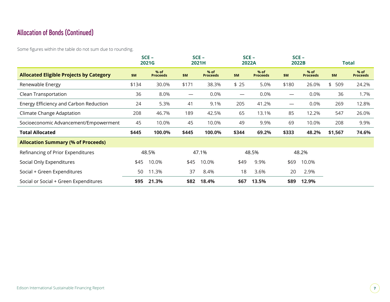## Allocation of Bonds (Continued)

Some figures within the table do not sum due to rounding.

|                                                | $SCE -$<br>2021G |                         | $SCE -$<br>2021H                 |                         | $SCE -$<br>2022A         |                           | $SCE -$<br>2022B         |                           | Total     |                           |
|------------------------------------------------|------------------|-------------------------|----------------------------------|-------------------------|--------------------------|---------------------------|--------------------------|---------------------------|-----------|---------------------------|
| <b>Allocated Eligible Projects by Category</b> | \$M              | % of<br><b>Proceeds</b> | \$M\$                            | % of<br><b>Proceeds</b> | \$M\$                    | $%$ of<br><b>Proceeds</b> | \$M                      | $%$ of<br><b>Proceeds</b> | \$M       | $%$ of<br><b>Proceeds</b> |
| Renewable Energy                               | \$134            | 30.0%                   | \$171                            | 38.3%                   | \$25                     | 5.0%                      | \$180                    | 26.0%                     | 509<br>\$ | 24.2%                     |
| Clean Transportation                           | 36               | 8.0%                    | $\overbrace{\phantom{12322111}}$ | 0.0%                    | $\overline{\phantom{m}}$ | 0.0%                      | $\overline{\phantom{m}}$ | 0.0%                      | 36        | 1.7%                      |
| Energy Efficiency and Carbon Reduction         | 24               | 5.3%                    | 41                               | 9.1%                    | 205                      | 41.2%                     | $\hspace{0.05cm}$        | 0.0%                      | 269       | 12.8%                     |
| Climate Change Adaptation                      | 208              | 46.7%                   | 189                              | 42.5%                   | 65                       | 13.1%                     | 85                       | 12.2%                     | 547       | 26.0%                     |
| Socioeconomic Advancement/Empowerment          | 45               | 10.0%                   | 45                               | 10.0%                   | 49                       | 9.9%                      | 69                       | 10.0%                     | 208       | 9.9%                      |
| <b>Total Allocated</b>                         | \$445            | 100.0%                  | \$445                            | 100.0%                  | \$344                    | 69.2%                     | \$333                    | 48.2%                     | \$1,567   | 74.6%                     |
| <b>Allocation Summary (% of Proceeds)</b>      |                  |                         |                                  |                         |                          |                           |                          |                           |           |                           |
| Refinancing of Prior Expenditures              |                  | 48.5%                   |                                  | 47.1%                   |                          | 48.5%                     |                          | 48.2%                     |           |                           |
| Social Only Expenditures                       | \$45             | 10.0%                   | \$45                             | 10.0%                   | \$49                     | 9.9%                      | \$69                     | 10.0%                     |           |                           |
| Social + Green Expenditures                    | 50               | 11.3%                   | 37                               | 8.4%                    | 18                       | 3.6%                      | 20                       | 2.9%                      |           |                           |
| Social or Social + Green Expenditures          | \$95             | 21.3%                   | \$82                             | 18.4%                   | \$67                     | 13.5%                     | \$89                     | 12.9%                     |           |                           |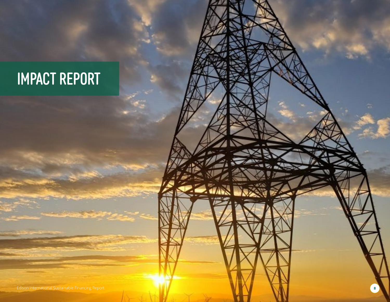# IMPACT REPORT

Edison International Sustainable Financing Report **8**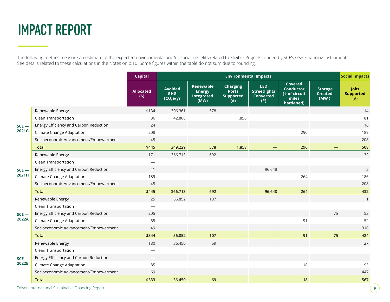## IMPACT REPORT

The following metrics measure an estimate of the expected environmental and/or social benefits related to Eligible Projects funded by SCE's GSS Financing Instruments. See details related to these calculations in the Notes on p.10. Some figures within the table do not sum due to rounding.

|                  |                                        | <b>Capital</b>          | <b>Environmental Impacts</b>                |                                                  |                                                            |                                                              |                                                                           |                                          | <b>Social Impacts</b>                   |
|------------------|----------------------------------------|-------------------------|---------------------------------------------|--------------------------------------------------|------------------------------------------------------------|--------------------------------------------------------------|---------------------------------------------------------------------------|------------------------------------------|-----------------------------------------|
|                  |                                        | <b>Allocated</b><br>(5) | <b>Avoided</b><br><b>GHG</b><br>$tCO2$ e/yr | Renewable<br><b>Energy</b><br>Integrated<br>(MW) | <b>Charging</b><br><b>Ports</b><br><b>Supported</b><br>(#) | <b>LED</b><br><b>Streetlights</b><br><b>Converted</b><br>(#) | <b>Covered</b><br><b>Conductor</b><br>(# of circuit<br>miles<br>hardened) | <b>Storage</b><br><b>Created</b><br>(MW) | <b>Jobs</b><br><b>Supported</b><br>(# ) |
| $SCE -$<br>2021G | Renewable Energy                       | \$134                   | 306,361                                     | 578                                              |                                                            |                                                              |                                                                           |                                          | 14                                      |
|                  | Clean Transportation                   | 36                      | 42,868                                      |                                                  | 1,858                                                      |                                                              |                                                                           |                                          | 81                                      |
|                  | Energy Efficiency and Carbon Reduction | 24                      |                                             |                                                  |                                                            |                                                              |                                                                           |                                          | 16                                      |
|                  | Climate Change Adaptation              | 208                     |                                             |                                                  |                                                            |                                                              | 290                                                                       |                                          | 189                                     |
|                  | Socioeconomic Advancement/Empowerment  | 45                      |                                             |                                                  |                                                            |                                                              |                                                                           |                                          | 208                                     |
|                  | <b>Total</b>                           | \$445                   | 349,229                                     | 578                                              | 1,858                                                      |                                                              | 290                                                                       |                                          | 508                                     |
|                  | Renewable Energy                       | 171                     | 366,713                                     | 692                                              |                                                            |                                                              |                                                                           |                                          | 32                                      |
|                  | Clean Transportation                   |                         |                                             |                                                  |                                                            |                                                              |                                                                           |                                          |                                         |
| $SCE -$          | Energy Efficiency and Carbon Reduction | 41                      |                                             |                                                  |                                                            | 96,648                                                       |                                                                           |                                          | 5                                       |
| 2021H            | Climate Change Adaptation              | 189                     |                                             |                                                  |                                                            |                                                              | 264                                                                       |                                          | 186                                     |
|                  | Socioeconomic Advancement/Empowerment  | 45                      |                                             |                                                  |                                                            |                                                              |                                                                           |                                          | 208                                     |
|                  | <b>Total</b>                           | \$445                   | 366,713                                     | 692                                              | —                                                          | 96,648                                                       | 264                                                                       |                                          | 432                                     |
|                  | Renewable Energy                       | 25                      | 56,852                                      | 107                                              |                                                            |                                                              |                                                                           |                                          | $\mathbf{1}$                            |
|                  | Clean Transportation                   |                         |                                             |                                                  |                                                            |                                                              |                                                                           |                                          |                                         |
| $SCE -$          | Energy Efficiency and Carbon Reduction | 205                     |                                             |                                                  |                                                            |                                                              |                                                                           | 75                                       | 53                                      |
| 2022A            | Climate Change Adaptation              | 65                      |                                             |                                                  |                                                            |                                                              | 91                                                                        |                                          | 52                                      |
|                  | Socioeconomic Advancement/Empowerment  | 49                      |                                             |                                                  |                                                            |                                                              |                                                                           |                                          | 318                                     |
|                  | <b>Total</b>                           | \$344                   | 56,852                                      | 107                                              |                                                            |                                                              | 91                                                                        | 75                                       | 424                                     |
| $SCE -$<br>2022B | Renewable Energy                       | 180                     | 36,450                                      | 69                                               |                                                            |                                                              |                                                                           |                                          | 27                                      |
|                  | Clean Transportation                   |                         |                                             |                                                  |                                                            |                                                              |                                                                           |                                          |                                         |
|                  | Energy Efficiency and Carbon Reduction |                         |                                             |                                                  |                                                            |                                                              |                                                                           |                                          |                                         |
|                  | Climate Change Adaptation              | 85                      |                                             |                                                  |                                                            |                                                              | 118                                                                       |                                          | 93                                      |
|                  | Socioeconomic Advancement/Empowerment  | 69                      |                                             |                                                  |                                                            |                                                              |                                                                           |                                          | 447                                     |
|                  | <b>Total</b>                           | \$333                   | 36,450                                      | 69                                               |                                                            |                                                              | 118                                                                       |                                          | 567                                     |

Edison International Sustainable Financing Report **9**